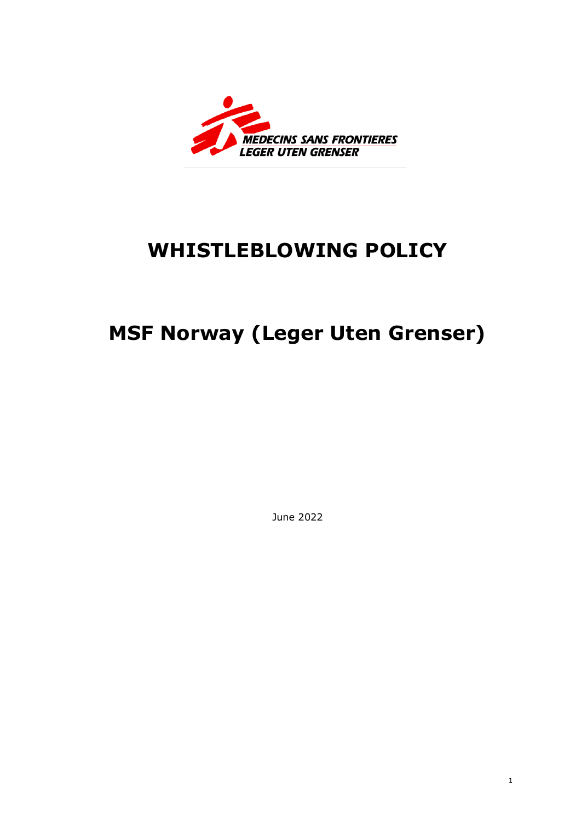

## **WHISTLEBLOWING POLICY**

# **MSF Norway (Leger Uten Grenser)**

June 2022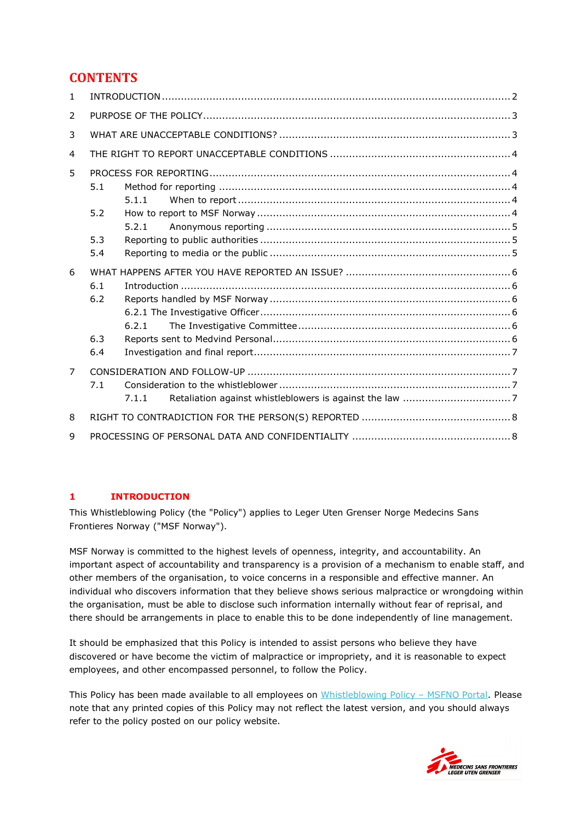## **CONTENTS**

| 1.             |                                   |
|----------------|-----------------------------------|
| $\mathcal{P}$  |                                   |
| 3              |                                   |
| 4              |                                   |
| 5              | 5.1<br>5.1.1<br>5.2               |
|                | 5.2.1<br>5.3<br>5.4               |
| 6              | 6.1<br>6.2<br>6.2.1<br>6.3<br>6.4 |
| $\overline{7}$ | 7.1<br>7.1.1                      |
| 8              |                                   |
| 9              |                                   |

## <span id="page-1-0"></span>**1 INTRODUCTION**

This Whistleblowing Policy (the "Policy") applies to Leger Uten Grenser Norge Medecins Sans Frontieres Norway ("MSF Norway").

MSF Norway is committed to the highest levels of openness, integrity, and accountability. An important aspect of accountability and transparency is a provision of a mechanism to enable staff, and other members of the organisation, to voice concerns in a responsible and effective manner. An individual who discovers information that they believe shows serious malpractice or wrongdoing within the organisation, must be able to disclose such information internally without fear of reprisal, and there should be arrangements in place to enable this to be done independently of line management.

It should be emphasized that this Policy is intended to assist persons who believe they have discovered or have become the victim of malpractice or impropriety, and it is reasonable to expect employees, and other encompassed personnel, to follow the Policy.

This Policy has been made available to all employees on [Whistleblowing Policy](https://msfintl.sharepoint.com/sites/osl/SitePages/Whistleblowing_channel.aspx?OR=Teams-HL&CT=1653394451271¶ms=eyJBcHBOYW1lIjoiVGVhbXMtRGVza3RvcCIsIkFwcFZlcnNpb24iOiIyNy8yMjA1MDEwMTAwOSJ9) – MSFNO Portal. Please note that any printed copies of this Policy may not reflect the latest version, and you should always refer to the policy posted on our policy website.

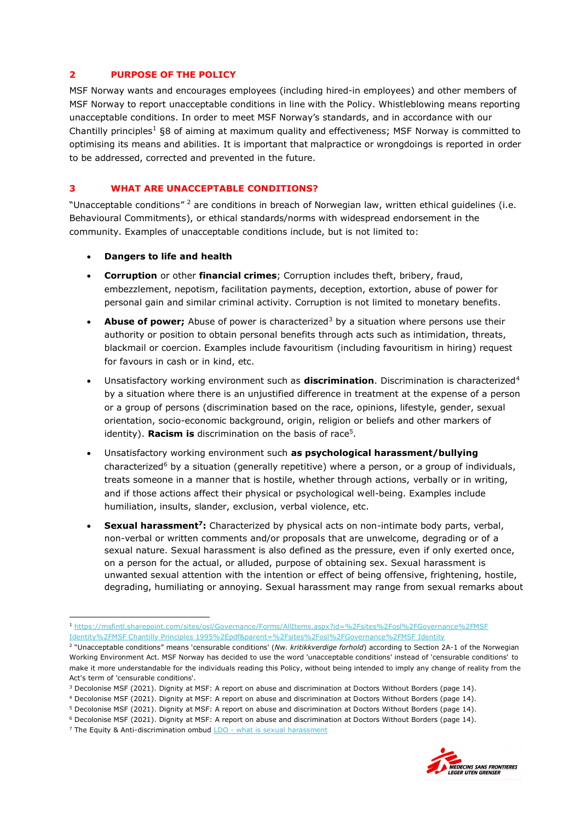#### <span id="page-2-0"></span>**2 PURPOSE OF THE POLICY**

MSF Norway wants and encourages employees (including hired-in employees) and other members of MSF Norway to report unacceptable conditions in line with the Policy. Whistleblowing means reporting unacceptable conditions. In order to meet MSF Norway's standards, and in accordance with our Chantilly principles<sup>1</sup> §8 of aiming at maximum quality and effectiveness; MSF Norway is committed to optimising its means and abilities. It is important that malpractice or wrongdoings is reported in order to be addressed, corrected and prevented in the future.

#### <span id="page-2-1"></span>**3 WHAT ARE UNACCEPTABLE CONDITIONS?**

"Unacceptable conditions" <sup>2</sup> are conditions in breach of Norwegian law, written ethical guidelines (i.e. Behavioural Commitments), or ethical standards/norms with widespread endorsement in the community. Examples of unacceptable conditions include, but is not limited to:

- **Dangers to life and health**
- **Corruption** or other **financial crimes**; Corruption includes theft, bribery, fraud, embezzlement, nepotism, facilitation payments, deception, extortion, abuse of power for personal gain and similar criminal activity. Corruption is not limited to monetary benefits.
- **Abuse of power;** Abuse of power is characterized<sup>3</sup> by a situation where persons use their authority or position to obtain personal benefits through acts such as intimidation, threats, blackmail or coercion. Examples include favouritism (including favouritism in hiring) request for favours in cash or in kind, etc.
- Unsatisfactory working environment such as **discrimination**. Discrimination is characterized<sup>4</sup> by a situation where there is an unjustified difference in treatment at the expense of a person or a group of persons (discrimination based on the race, opinions, lifestyle, gender, sexual orientation, socio-economic background, origin, religion or beliefs and other markers of identity). **Racism is** discrimination on the basis of race<sup>5</sup>.
- Unsatisfactory working environment such **as psychological harassment/bullying**  characterized<sup>6</sup> by a situation (generally repetitive) where a person, or a group of individuals, treats someone in a manner that is hostile, whether through actions, verbally or in writing, and if those actions affect their physical or psychological well-being. Examples include humiliation, insults, slander, exclusion, verbal violence, etc.
- **Sexual harassment<sup>7</sup> :** Characterized by physical acts on non-intimate body parts, verbal, non-verbal or written comments and/or proposals that are unwelcome, degrading or of a sexual nature. Sexual harassment is also defined as the pressure, even if only exerted once, on a person for the actual, or alluded, purpose of obtaining sex. Sexual harassment is unwanted sexual attention with the intention or effect of being offensive, frightening, hostile, degrading, humiliating or annoying. Sexual harassment may range from sexual remarks about



<sup>1</sup> [https://msfintl.sharepoint.com/sites/osl/Governance/Forms/AllItems.aspx?id=%2Fsites%2Fosl%2FGovernance%2FMSF](https://msfintl.sharepoint.com/sites/osl/Governance/Forms/AllItems.aspx?id=%2Fsites%2Fosl%2FGovernance%2FMSF%20Identity%2FMSF%20Chantilly%20Principles%201995%2Epdf&parent=%2Fsites%2Fosl%2FGovernance%2FMSF%20Identity)  [Identity%2FMSF Chantilly Principles 1995%2Epdf&parent=%2Fsites%2Fosl%2FGovernance%2FMSF Identity](https://msfintl.sharepoint.com/sites/osl/Governance/Forms/AllItems.aspx?id=%2Fsites%2Fosl%2FGovernance%2FMSF%20Identity%2FMSF%20Chantilly%20Principles%201995%2Epdf&parent=%2Fsites%2Fosl%2FGovernance%2FMSF%20Identity)

<sup>2</sup> "Unacceptable conditions" means 'censurable conditions' (*Nw. kritikkverdige forhold*) according to Section 2A-1 of the Norwegian Working Environment Act. MSF Norway has decided to use the word 'unacceptable conditions' instead of 'censurable conditions' to make it more understandable for the individuals reading this Policy, without being intended to imply any change of reality from the Act's term of 'censurable conditions'.

<sup>3</sup> Decolonise MSF (2021). Dignity at MSF: A report on abuse and discrimination at Doctors Without Borders (page 14).

<sup>4</sup> Decolonise MSF (2021). Dignity at MSF: A report on abuse and discrimination at Doctors Without Borders (page 14).

<sup>5</sup> Decolonise MSF (2021). Dignity at MSF: A report on abuse and discrimination at Doctors Without Borders (page 14).

<sup>6</sup> Decolonise MSF (2021). Dignity at MSF: A report on abuse and discrimination at Doctors Without Borders (page 14).

<sup>&</sup>lt;sup>7</sup> The Equity & Anti-discrimination ombud **LDO** - [what is sexual harassment](https://www.ldo.no/en/sette-strekk-for-seksuell-trakassering-eng/what-is-sexual-harassment/)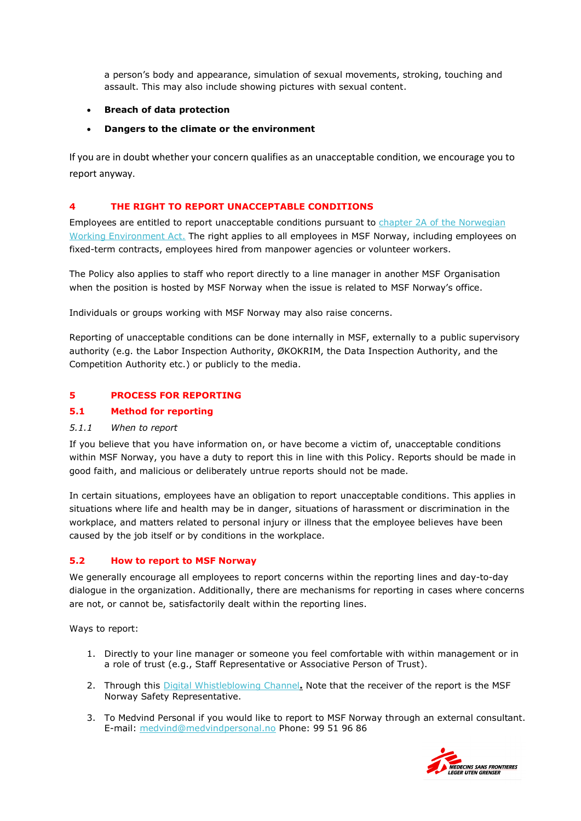a person's body and appearance, simulation of sexual movements, stroking, touching and assault. This may also include showing pictures with sexual content.

## • **Breach of data protection**

#### • **Dangers to the climate or the environment**

If you are in doubt whether your concern qualifies as an unacceptable condition, we encourage you to report anyway.

## <span id="page-3-0"></span>**4 THE RIGHT TO REPORT UNACCEPTABLE CONDITIONS**

Employees are entitled to report unacceptable conditions pursuant to chapter 2A of the Norwegian [Working Environment Act.](https://lovdata.no/dokument/NLE/lov/2005-06-17-62#KAPITTEL_3) The right applies to all employees in MSF Norway, including employees on fixed-term contracts, employees hired from manpower agencies or volunteer workers.

The Policy also applies to staff who report directly to a line manager in another MSF Organisation when the position is hosted by MSF Norway when the issue is related to MSF Norway's office.

Individuals or groups working with MSF Norway may also raise concerns.

Reporting of unacceptable conditions can be done internally in MSF, externally to a public supervisory authority (e.g. the Labor Inspection Authority, ØKOKRIM, the Data Inspection Authority, and the Competition Authority etc.) or publicly to the media.

## <span id="page-3-1"></span>**5 PROCESS FOR REPORTING**

#### <span id="page-3-2"></span>**5.1 Method for reporting**

#### <span id="page-3-3"></span>*5.1.1 When to report*

If you believe that you have information on, or have become a victim of, unacceptable conditions within MSF Norway, you have a duty to report this in line with this Policy. Reports should be made in good faith, and malicious or deliberately untrue reports should not be made.

In certain situations, employees have an obligation to report unacceptable conditions. This applies in situations where life and health may be in danger, situations of harassment or discrimination in the workplace, and matters related to personal injury or illness that the employee believes have been caused by the job itself or by conditions in the workplace.

#### <span id="page-3-4"></span>**5.2 How to report to MSF Norway**

We generally encourage all employees to report concerns within the reporting lines and day-to-day dialogue in the organization. Additionally, there are mechanisms for reporting in cases where concerns are not, or cannot be, satisfactorily dealt within the reporting lines.

Ways to report:

- 1. Directly to your line manager or someone you feel comfortable with within management or in a role of trust (e.g., Staff Representative or Associative Person of Trust).
- 2. Through this [Digital Whistleblowing Channel](https://forms.office.com/r/YTtwtJXvC5)**.** Note that the receiver of the report is the MSF Norway Safety Representative.
- 3. To Medvind Personal if you would like to report to MSF Norway through an external consultant. E-mail: [medvind@medvindpersonal.no](mailto:medvind@medvindpersonal.no) Phone: 99 51 96 86

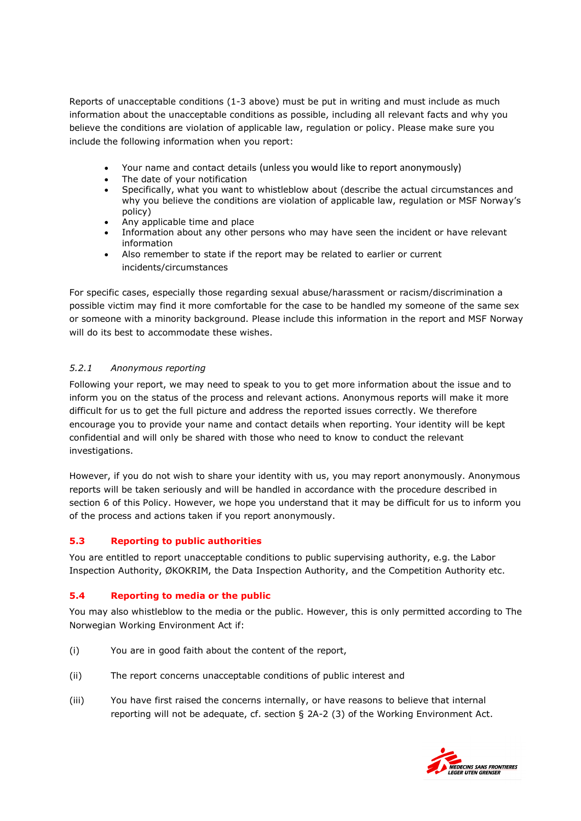Reports of unacceptable conditions (1-3 above) must be put in writing and must include as much information about the unacceptable conditions as possible, including all relevant facts and why you believe the conditions are violation of applicable law, regulation or policy. Please make sure you include the following information when you report:

- Your name and contact details (unless you would like to report anonymously)
- The date of your notification
- Specifically, what you want to whistleblow about (describe the actual circumstances and why you believe the conditions are violation of applicable law, regulation or MSF Norway's policy)
- Any applicable time and place
- Information about any other persons who may have seen the incident or have relevant information
- Also remember to state if the report may be related to earlier or current incidents/circumstances

For specific cases, especially those regarding sexual abuse/harassment or racism/discrimination a possible victim may find it more comfortable for the case to be handled my someone of the same sex or someone with a minority background. Please include this information in the report and MSF Norway will do its best to accommodate these wishes.

## <span id="page-4-0"></span>*5.2.1 Anonymous reporting*

Following your report, we may need to speak to you to get more information about the issue and to inform you on the status of the process and relevant actions. Anonymous reports will make it more difficult for us to get the full picture and address the reported issues correctly. We therefore encourage you to provide your name and contact details when reporting. Your identity will be kept confidential and will only be shared with those who need to know to conduct the relevant investigations.

However, if you do not wish to share your identity with us, you may report anonymously. Anonymous reports will be taken seriously and will be handled in accordance with the procedure described in section 6 of this Policy. However, we hope you understand that it may be difficult for us to inform you of the process and actions taken if you report anonymously.

## <span id="page-4-1"></span>**5.3 Reporting to public authorities**

You are entitled to report unacceptable conditions to public supervising authority, e.g. the Labor Inspection Authority, ØKOKRIM, the Data Inspection Authority, and the Competition Authority etc.

## <span id="page-4-2"></span>**5.4 Reporting to media or the public**

You may also whistleblow to the media or the public. However, this is only permitted according to The Norwegian Working Environment Act if:

- (i) You are in good faith about the content of the report,
- (ii) The report concerns unacceptable conditions of public interest and
- (iii) You have first raised the concerns internally, or have reasons to believe that internal reporting will not be adequate, cf. section § 2A-2 (3) of the Working Environment Act.

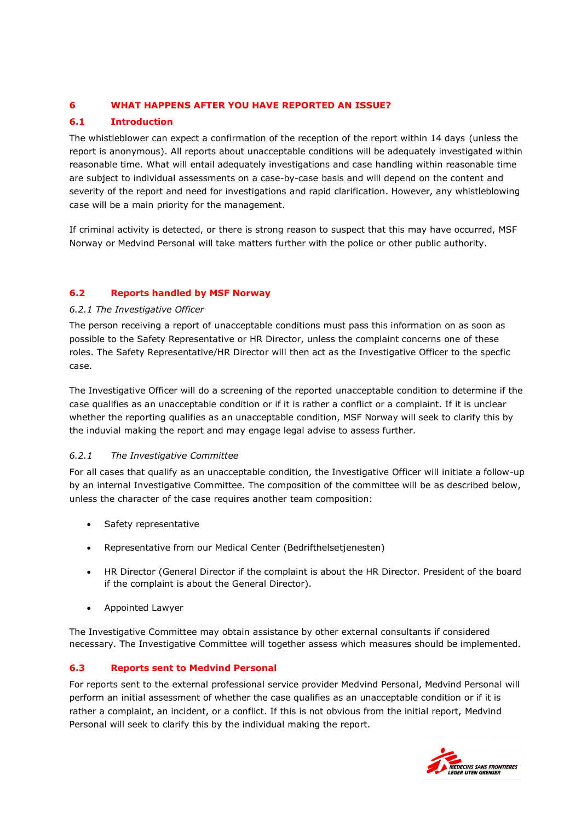## <span id="page-5-0"></span>**6 WHAT HAPPENS AFTER YOU HAVE REPORTED AN ISSUE?**

## <span id="page-5-1"></span>**6.1 Introduction**

The whistleblower can expect a confirmation of the reception of the report within 14 days (unless the report is anonymous). All reports about unacceptable conditions will be adequately investigated within reasonable time. What will entail adequately investigations and case handling within reasonable time are subject to individual assessments on a case-by-case basis and will depend on the content and severity of the report and need for investigations and rapid clarification. However, any whistleblowing case will be a main priority for the management.

If criminal activity is detected, or there is strong reason to suspect that this may have occurred, MSF Norway or Medvind Personal will take matters further with the police or other public authority.

## <span id="page-5-2"></span>**6.2 Reports handled by MSF Norway**

## <span id="page-5-3"></span>*6.2.1 The Investigative Officer*

The person receiving a report of unacceptable conditions must pass this information on as soon as possible to the Safety Representative or HR Director, unless the complaint concerns one of these roles. The Safety Representative/HR Director will then act as the Investigative Officer to the specfic case.

The Investigative Officer will do a screening of the reported unacceptable condition to determine if the case qualifies as an unacceptable condition or if it is rather a conflict or a complaint. If it is unclear whether the reporting qualifies as an unacceptable condition, MSF Norway will seek to clarify this by the induvial making the report and may engage legal advise to assess further.

## <span id="page-5-4"></span>*6.2.1 The Investigative Committee*

For all cases that qualify as an unacceptable condition, the Investigative Officer will initiate a follow-up by an internal Investigative Committee. The composition of the committee will be as described below, unless the character of the case requires another team composition:

- Safety representative
- Representative from our Medical Center (Bedrifthelsetjenesten)
- HR Director (General Director if the complaint is about the HR Director. President of the board if the complaint is about the General Director).
- Appointed Lawyer

The Investigative Committee may obtain assistance by other external consultants if considered necessary. The Investigative Committee will together assess which measures should be implemented.

## <span id="page-5-5"></span>**6.3 Reports sent to Medvind Personal**

For reports sent to the external professional service provider Medvind Personal, Medvind Personal will perform an initial assessment of whether the case qualifies as an unacceptable condition or if it is rather a complaint, an incident, or a conflict. If this is not obvious from the initial report, Medvind Personal will seek to clarify this by the individual making the report.

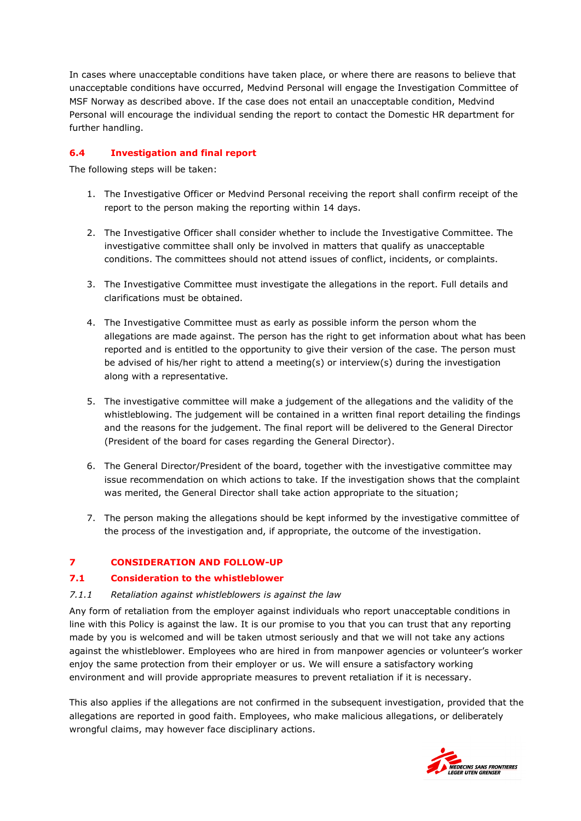In cases where unacceptable conditions have taken place, or where there are reasons to believe that unacceptable conditions have occurred, Medvind Personal will engage the Investigation Committee of MSF Norway as described above. If the case does not entail an unacceptable condition, Medvind Personal will encourage the individual sending the report to contact the Domestic HR department for further handling.

## <span id="page-6-0"></span>**6.4 Investigation and final report**

The following steps will be taken:

- 1. The Investigative Officer or Medvind Personal receiving the report shall confirm receipt of the report to the person making the reporting within 14 days.
- 2. The Investigative Officer shall consider whether to include the Investigative Committee. The investigative committee shall only be involved in matters that qualify as unacceptable conditions. The committees should not attend issues of conflict, incidents, or complaints.
- 3. The Investigative Committee must investigate the allegations in the report. Full details and clarifications must be obtained.
- 4. The Investigative Committee must as early as possible inform the person whom the allegations are made against. The person has the right to get information about what has been reported and is entitled to the opportunity to give their version of the case. The person must be advised of his/her right to attend a meeting(s) or interview(s) during the investigation along with a representative.
- 5. The investigative committee will make a judgement of the allegations and the validity of the whistleblowing. The judgement will be contained in a written final report detailing the findings and the reasons for the judgement. The final report will be delivered to the General Director (President of the board for cases regarding the General Director).
- 6. The General Director/President of the board, together with the investigative committee may issue recommendation on which actions to take. If the investigation shows that the complaint was merited, the General Director shall take action appropriate to the situation;
- 7. The person making the allegations should be kept informed by the investigative committee of the process of the investigation and, if appropriate, the outcome of the investigation.

## <span id="page-6-1"></span>**7 CONSIDERATION AND FOLLOW-UP**

## <span id="page-6-2"></span>**7.1 Consideration to the whistleblower**

## <span id="page-6-3"></span>*7.1.1 Retaliation against whistleblowers is against the law*

Any form of retaliation from the employer against individuals who report unacceptable conditions in line with this Policy is against the law. It is our promise to you that you can trust that any reporting made by you is welcomed and will be taken utmost seriously and that we will not take any actions against the whistleblower. Employees who are hired in from manpower agencies or volunteer's worker enjoy the same protection from their employer or us. We will ensure a satisfactory working environment and will provide appropriate measures to prevent retaliation if it is necessary.

This also applies if the allegations are not confirmed in the subsequent investigation, provided that the allegations are reported in good faith. Employees, who make malicious allegations, or deliberately wrongful claims, may however face disciplinary actions.